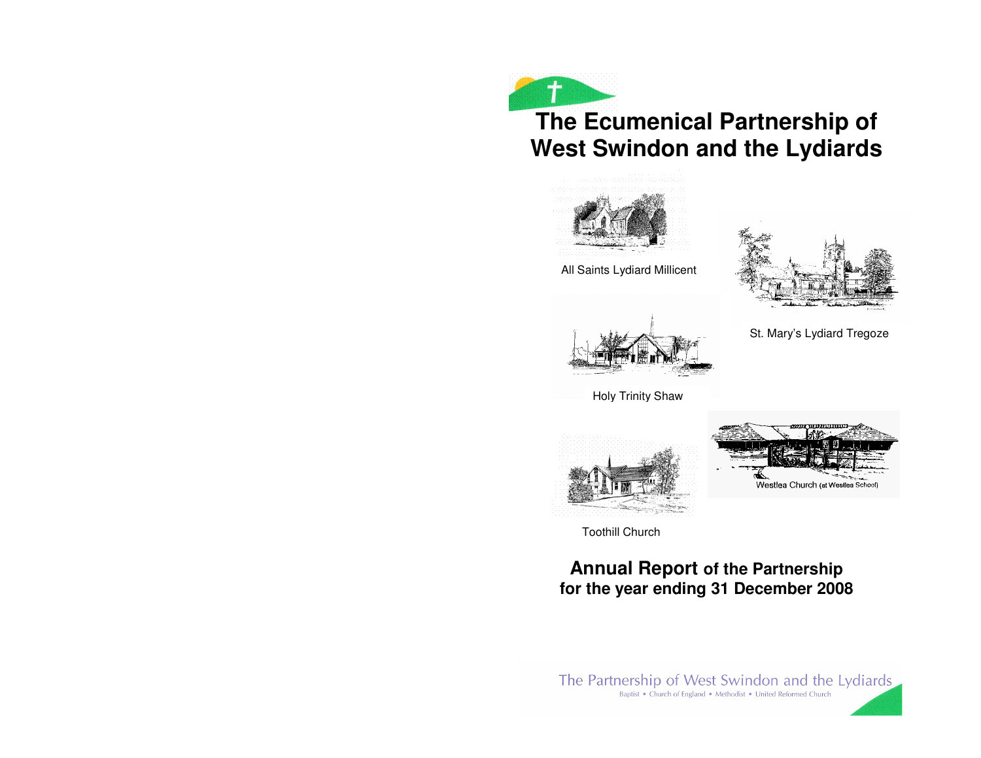



All Saints Lydiard Millicent

St. Mary's Lydiard Tregoze



Holy Trinity Shaw



Toothill Church

# **Annual Report of the Partnership for the year ending 31 December 2008**

The Partnership of West Swindon and the Lydiards Baptist . Church of England . Methodist . United Reformed Church

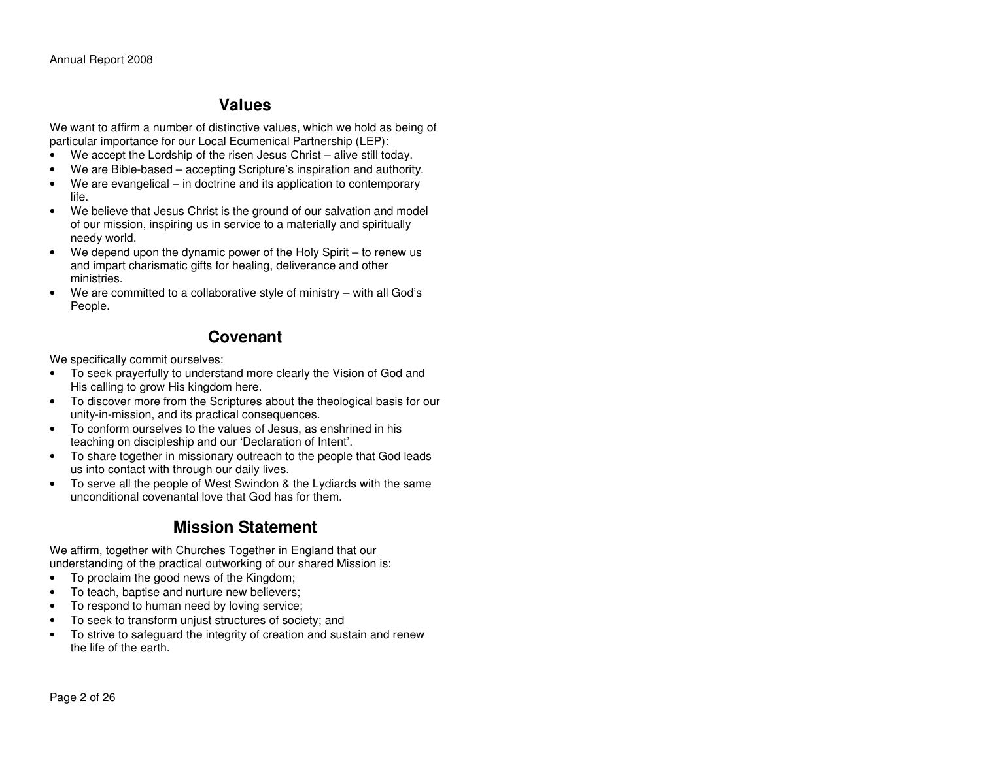## **Values**

We want to affirm a number of distinctive values, which we hold as being of particular importance for our Local Ecumenical Partnership (LEP):

- We accept the Lordship of the risen Jesus Christ alive still today.
- We are Bible-based accepting Scripture's inspiration and authority.
- We are evangelical in doctrine and its application to contemporary life.
- We believe that Jesus Christ is the ground of our salvation and model of our mission, inspiring us in service to a materially and spiritually needy world.
- We depend upon the dynamic power of the Holy Spirit to renew us and impart charismatic gifts for healing, deliverance and other ministries.
- We are committed to a collaborative style of ministry with all God's People.

## **Covenant**

We specifically commit ourselves:

- To seek prayerfully to understand more clearly the Vision of God and His calling to grow His kingdom here.
- To discover more from the Scriptures about the theological basis for our unity-in-mission, and its practical consequences.
- To conform ourselves to the values of Jesus, as enshrined in his teaching on discipleship and our 'Declaration of Intent'.
- To share together in missionary outreach to the people that God leads us into contact with through our daily lives.
- To serve all the people of West Swindon & the Lydiards with the same unconditional covenantal love that God has for them.

# **Mission Statement**

We affirm, together with Churches Together in England that our understanding of the practical outworking of our shared Mission is:

- To proclaim the good news of the Kingdom;
- To teach, baptise and nurture new believers;
- To respond to human need by loving service;
- To seek to transform unjust structures of society; and
- To strive to safeguard the integrity of creation and sustain and renew the life of the earth.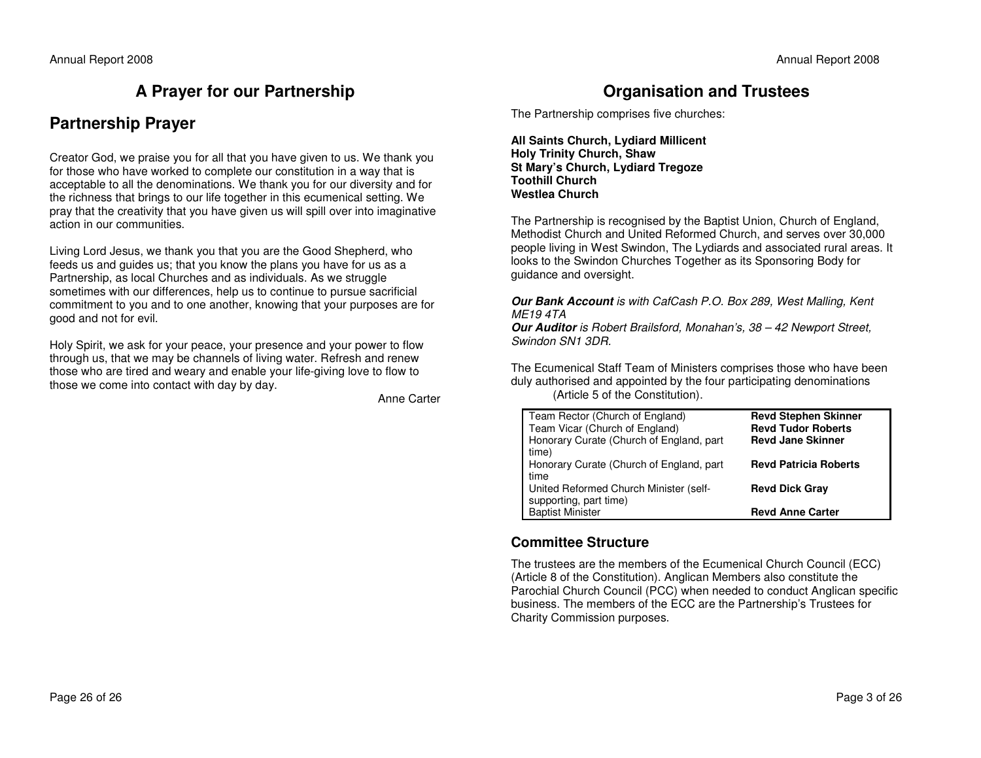## **A Prayer for our Partnership**

## **Partnership Prayer**

Creator God, we praise you for all that you have given to us. We thank you for those who have worked to complete our constitution in a way that is acceptable to all the denominations. We thank you for our diversity and for the richness that brings to our life together in this ecumenical setting. We pray that the creativity that you have given us will spill over into imaginative action in our communities.

Living Lord Jesus, we thank you that you are the Good Shepherd, who feeds us and guides us; that you know the plans you have for us as a Partnership, as local Churches and as individuals. As we struggle sometimes with our differences, help us to continue to pursue sacrificial commitment to you and to one another, knowing that your purposes are for good and not for evil.

Holy Spirit, we ask for your peace, your presence and your power to flow through us, that we may be channels of living water. Refresh and renew those who are tired and weary and enable your life-giving love to flow to those we come into contact with day by day.

Anne Carter

## **Organisation and Trustees**

The Partnership comprises five churches:

**All Saints Church, Lydiard Millicent Holy Trinity Church, Shaw St Mary's Church, Lydiard Tregoze Toothill Church Westlea Church** 

The Partnership is recognised by the Baptist Union, Church of England, Methodist Church and United Reformed Church, and serves over 30,000 people living in West Swindon, The Lydiards and associated rural areas. It looks to the Swindon Churches Together as its Sponsoring Body for guidance and oversight.

#### **Our Bank Account** is with CafCash P.O. Box 289, West Malling, Kent ME19 4TA

 **Our Auditor** is Robert Brailsford, Monahan's, 38 – 42 Newport Street, Swindon SN1 3DR.

The Ecumenical Staff Team of Ministers comprises those who have been duly authorised and appointed by the four participating denominations (Article 5 of the Constitution).

| Team Rector (Church of England)<br>Team Vicar (Church of England)<br>Honorary Curate (Church of England, part<br>time) | <b>Revd Stephen Skinner</b><br><b>Revd Tudor Roberts</b><br><b>Revd Jane Skinner</b> |
|------------------------------------------------------------------------------------------------------------------------|--------------------------------------------------------------------------------------|
| Honorary Curate (Church of England, part                                                                               | <b>Revd Patricia Roberts</b>                                                         |
| time<br>United Reformed Church Minister (self-<br>supporting, part time)                                               | <b>Revd Dick Gray</b>                                                                |
| <b>Baptist Minister</b>                                                                                                | <b>Revd Anne Carter</b>                                                              |

### **Committee Structure**

The trustees are the members of the Ecumenical Church Council (ECC) (Article 8 of the Constitution). Anglican Members also constitute the Parochial Church Council (PCC) when needed to conduct Anglican specific business. The members of the ECC are the Partnership's Trustees for Charity Commission purposes.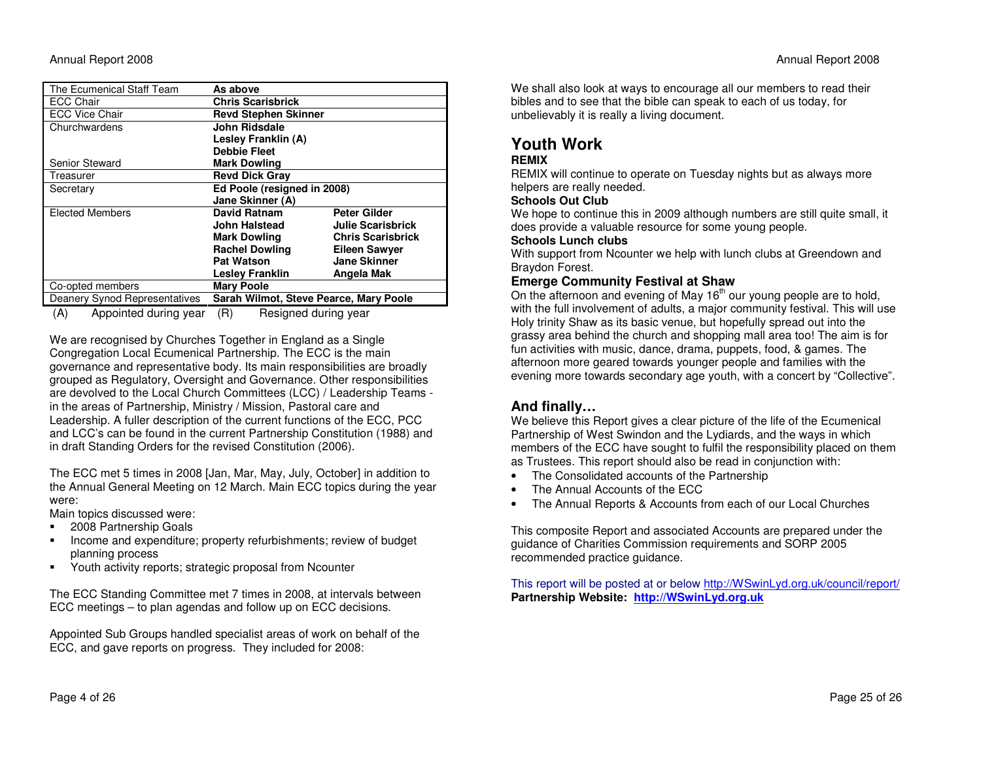| The Ecumenical Staff Team     | As above                                        |                          |  |  |
|-------------------------------|-------------------------------------------------|--------------------------|--|--|
| ECC Chair                     | Chris Scarisbrick                               |                          |  |  |
| <b>ECC Vice Chair</b>         | <b>Revd Stephen Skinner</b>                     |                          |  |  |
| Churchwardens                 | John Ridsdale                                   |                          |  |  |
|                               | Lesley Franklin (A)                             |                          |  |  |
|                               | <b>Debbie Fleet</b>                             |                          |  |  |
| <b>Senior Steward</b>         | <b>Mark Dowling</b>                             |                          |  |  |
| Treasurer                     | <b>Revd Dick Gray</b>                           |                          |  |  |
| Secretary                     | Ed Poole (resigned in 2008)                     |                          |  |  |
|                               | Jane Skinner (A)                                |                          |  |  |
| <b>Elected Members</b>        | <b>David Ratnam</b>                             | <b>Peter Gilder</b>      |  |  |
|                               | John Halstead                                   | <b>Julie Scarisbrick</b> |  |  |
|                               | <b>Mark Dowling</b><br><b>Chris Scarisbrick</b> |                          |  |  |
|                               | <b>Rachel Dowling</b><br><b>Eileen Sawyer</b>   |                          |  |  |
|                               | <b>Jane Skinner</b><br><b>Pat Watson</b>        |                          |  |  |
|                               | <b>Lesley Franklin</b>                          | Angela Mak               |  |  |
| Co-opted members              | <b>Mary Poole</b>                               |                          |  |  |
| Deanery Synod Representatives | Sarah Wilmot, Steve Pearce, Mary Poole          |                          |  |  |

(A) Appointed during year (R) Resigned during year

We are recognised by Churches Together in England as a Single Congregation Local Ecumenical Partnership. The ECC is the main governance and representative body. Its main responsibilities are broadly grouped as Regulatory, Oversight and Governance. Other responsibilities are devolved to the Local Church Committees (LCC) / Leadership Teams in the areas of Partnership, Ministry / Mission, Pastoral care and Leadership. A fuller description of the current functions of the ECC, PCC and LCC's can be found in the current Partnership Constitution (1988) and in draft Standing Orders for the revised Constitution (2006).

The ECC met 5 times in 2008 [Jan, Mar, May, July, October] in addition to the Annual General Meeting on 12 March. Main ECC topics during the year were:

Main topics discussed were:

- **2008 Partnership Goals**
- **Income and expenditure; property refurbishments; review of budget** planning process
- Youth activity reports; strategic proposal from Ncounter

The ECC Standing Committee met 7 times in 2008, at intervals between ECC meetings – to plan agendas and follow up on ECC decisions.

Appointed Sub Groups handled specialist areas of work on behalf of the ECC, and gave reports on progress. They included for 2008:

We shall also look at ways to encourage all our members to read their bibles and to see that the bible can speak to each of us today, for unbelievably it is really a living document.

# **Youth Work**

#### **REMIX**

 REMIX will continue to operate on Tuesday nights but as always more helpers are really needed.

#### **Schools Out Club**

 We hope to continue this in 2009 although numbers are still quite small, it does provide a valuable resource for some young people.

#### **Schools Lunch clubs**

 With support from Ncounter we help with lunch clubs at Greendown and Braydon Forest.

#### **Emerge Community Festival at Shaw**

On the afternoon and evening of May 16<sup>th</sup> our young people are to hold, with the full involvement of adults, a major community festival. This will use Holy trinity Shaw as its basic venue, but hopefully spread out into the grassy area behind the church and shopping mall area too! The aim is for fun activities with music, dance, drama, puppets, food, & games. The afternoon more geared towards younger people and families with the evening more towards secondary age youth, with a concert by "Collective".

## **And finally…**

 We believe this Report gives a clear picture of the life of the Ecumenical Partnership of West Swindon and the Lydiards, and the ways in which members of the ECC have sought to fulfil the responsibility placed on them as Trustees. This report should also be read in conjunction with:

- The Consolidated accounts of the Partnership
- The Annual Accounts of the ECC
- The Annual Reports & Accounts from each of our Local Churches

This composite Report and associated Accounts are prepared under the guidance of Charities Commission requirements and SORP 2005 recommended practice guidance.

This report will be posted at or below http://WSwinLyd.org.uk/council/report/**Partnership Website: http://WSwinLyd.org.uk**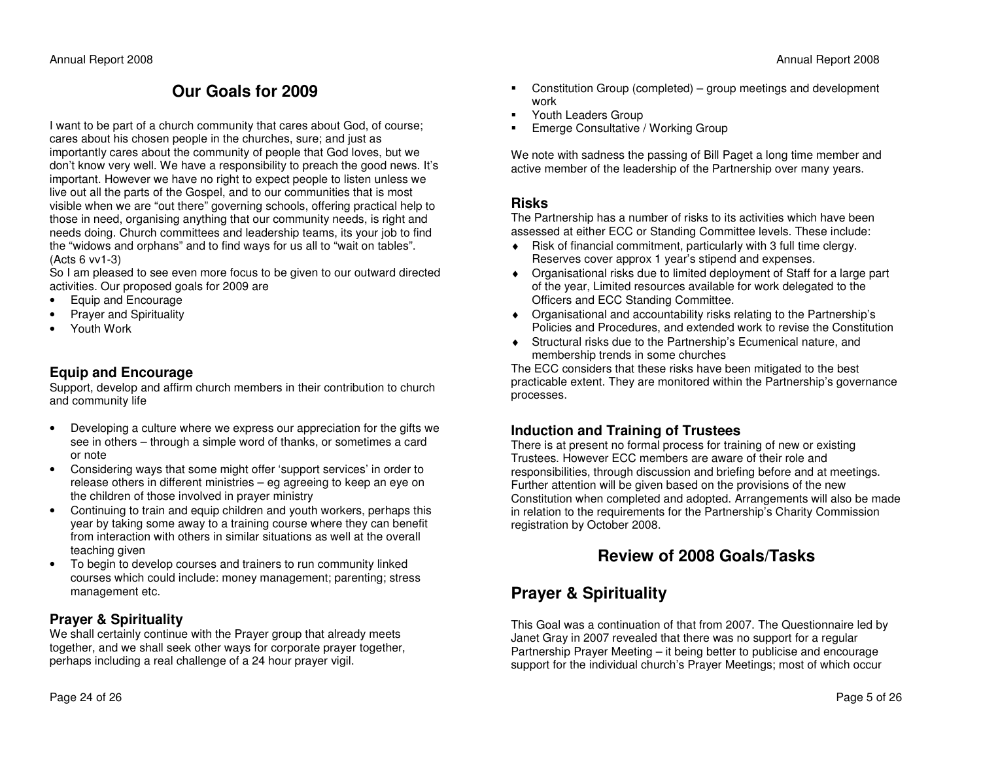# **Our Goals for 2009**

I want to be part of a church community that cares about God, of course; cares about his chosen people in the churches, sure; and just as importantly cares about the community of people that God loves, but we don't know very well. We have a responsibility to preach the good news. It's important. However we have no right to expect people to listen unless we live out all the parts of the Gospel, and to our communities that is most visible when we are "out there" governing schools, offering practical help to those in need, organising anything that our community needs, is right and needs doing. Church committees and leadership teams, its your job to find the "widows and orphans" and to find ways for us all to "wait on tables". (Acts 6 vv1-3)

 So I am pleased to see even more focus to be given to our outward directed activities. Our proposed goals for 2009 are

- Equip and Encourage
- Prayer and Spirituality
- Youth Work

### **Equip and Encourage**

 Support, develop and affirm church members in their contribution to church and community life

- Developing a culture where we express our appreciation for the gifts we see in others – through a simple word of thanks, or sometimes a card or note
- Considering ways that some might offer 'support services' in order to release others in different ministries – eg agreeing to keep an eye on the children of those involved in prayer ministry
- Continuing to train and equip children and youth workers, perhaps this year by taking some away to a training course where they can benefit from interaction with others in similar situations as well at the overall teaching given
- To begin to develop courses and trainers to run community linked courses which could include: money management; parenting; stress management etc.

## **Prayer & Spirituality**

 We shall certainly continue with the Prayer group that already meets together, and we shall seek other ways for corporate prayer together, perhaps including a real challenge of a 24 hour prayer vigil.

- Constitution Group (completed) group meetings and development work
- **Fall Struth Leaders Group**
- **Emerge Consultative / Working Group**

We note with sadness the passing of Bill Paget a long time member and active member of the leadership of the Partnership over many years.

### **Risks**

 The Partnership has a number of risks to its activities which have been assessed at either ECC or Standing Committee levels. These include:

- ♦ Risk of financial commitment, particularly with 3 full time clergy. Reserves cover approx 1 year's stipend and expenses.
- ♦ Organisational risks due to limited deployment of Staff for a large part of the year, Limited resources available for work delegated to the Officers and ECC Standing Committee.
- ♦ Organisational and accountability risks relating to the Partnership's Policies and Procedures, and extended work to revise the Constitution
- ♦ Structural risks due to the Partnership's Ecumenical nature, and membership trends in some churches

 The ECC considers that these risks have been mitigated to the best practicable extent. They are monitored within the Partnership's governance processes.

## **Induction and Training of Trustees**

 There is at present no formal process for training of new or existing Trustees. However ECC members are aware of their role and responsibilities, through discussion and briefing before and at meetings. Further attention will be given based on the provisions of the new Constitution when completed and adopted. Arrangements will also be made in relation to the requirements for the Partnership's Charity Commission registration by October 2008.

# **Review of 2008 Goals/Tasks**

# **Prayer & Spirituality**

This Goal was a continuation of that from 2007. The Questionnaire led by Janet Gray in 2007 revealed that there was no support for a regular Partnership Prayer Meeting – it being better to publicise and encourage support for the individual church's Prayer Meetings; most of which occur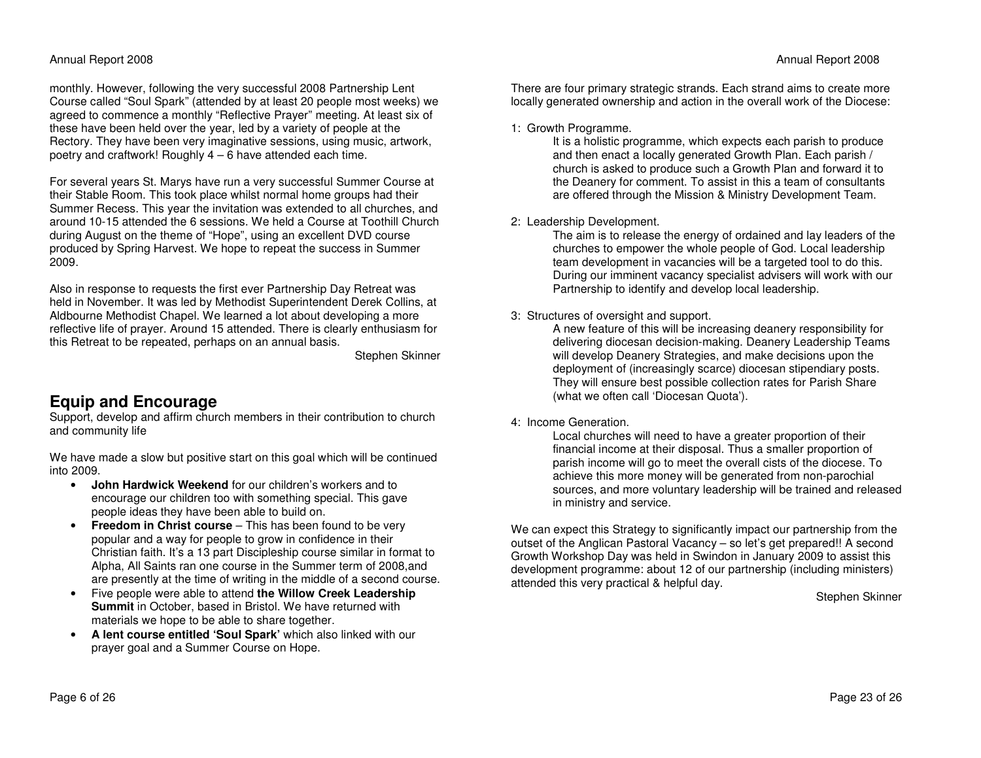monthly. However, following the very successful 2008 Partnership Lent Course called "Soul Spark" (attended by at least 20 people most weeks) we agreed to commence a monthly "Reflective Prayer" meeting. At least six of these have been held over the year, led by a variety of people at the Rectory. They have been very imaginative sessions, using music, artwork, poetry and craftwork! Roughly 4 – 6 have attended each time.

For several years St. Marys have run a very successful Summer Course at their Stable Room. This took place whilst normal home groups had their Summer Recess. This year the invitation was extended to all churches, and around 10-15 attended the 6 sessions. We held a Course at Toothill Church during August on the theme of "Hope", using an excellent DVD course produced by Spring Harvest. We hope to repeat the success in Summer 2009.

Also in response to requests the first ever Partnership Day Retreat was held in November. It was led by Methodist Superintendent Derek Collins, at Aldbourne Methodist Chapel. We learned a lot about developing a more reflective life of prayer. Around 15 attended. There is clearly enthusiasm for this Retreat to be repeated, perhaps on an annual basis.

Stephen Skinner

## **Equip and Encourage**

 Support, develop and affirm church members in their contribution to church and community life

We have made a slow but positive start on this goal which will be continued into 2009.

- **John Hardwick Weekend** for our children's workers and to encourage our children too with something special. This gave people ideas they have been able to build on.
- **Freedom in Christ course**  This has been found to be very popular and a way for people to grow in confidence in their Christian faith. It's a 13 part Discipleship course similar in format to Alpha, All Saints ran one course in the Summer term of 2008,and are presently at the time of writing in the middle of a second course.
- Five people were able to attend **the Willow Creek Leadership Summit** in October, based in Bristol. We have returned with materials we hope to be able to share together.
- **A lent course entitled 'Soul Spark'** which also linked with our prayer goal and a Summer Course on Hope.

There are four primary strategic strands. Each strand aims to create more locally generated ownership and action in the overall work of the Diocese:

#### 1: Growth Programme.

 It is a holistic programme, which expects each parish to produce and then enact a locally generated Growth Plan. Each parish / church is asked to produce such a Growth Plan and forward it to the Deanery for comment. To assist in this a team of consultants are offered through the Mission & Ministry Development Team.

#### 2: Leadership Development.

 The aim is to release the energy of ordained and lay leaders of the churches to empower the whole people of God. Local leadership team development in vacancies will be a targeted tool to do this. During our imminent vacancy specialist advisers will work with our Partnership to identify and develop local leadership.

#### 3: Structures of oversight and support.

 A new feature of this will be increasing deanery responsibility for delivering diocesan decision-making. Deanery Leadership Teams will develop Deanery Strategies, and make decisions upon the deployment of (increasingly scarce) diocesan stipendiary posts. They will ensure best possible collection rates for Parish Share (what we often call 'Diocesan Quota').

#### 4: Income Generation.

 Local churches will need to have a greater proportion of their financial income at their disposal. Thus a smaller proportion of parish income will go to meet the overall cists of the diocese. To achieve this more money will be generated from non-parochial sources, and more voluntary leadership will be trained and released in ministry and service.

We can expect this Strategy to significantly impact our partnership from the outset of the Anglican Pastoral Vacancy – so let's get prepared!! A second Growth Workshop Day was held in Swindon in January 2009 to assist this development programme: about 12 of our partnership (including ministers) attended this very practical & helpful day.

Stephen Skinner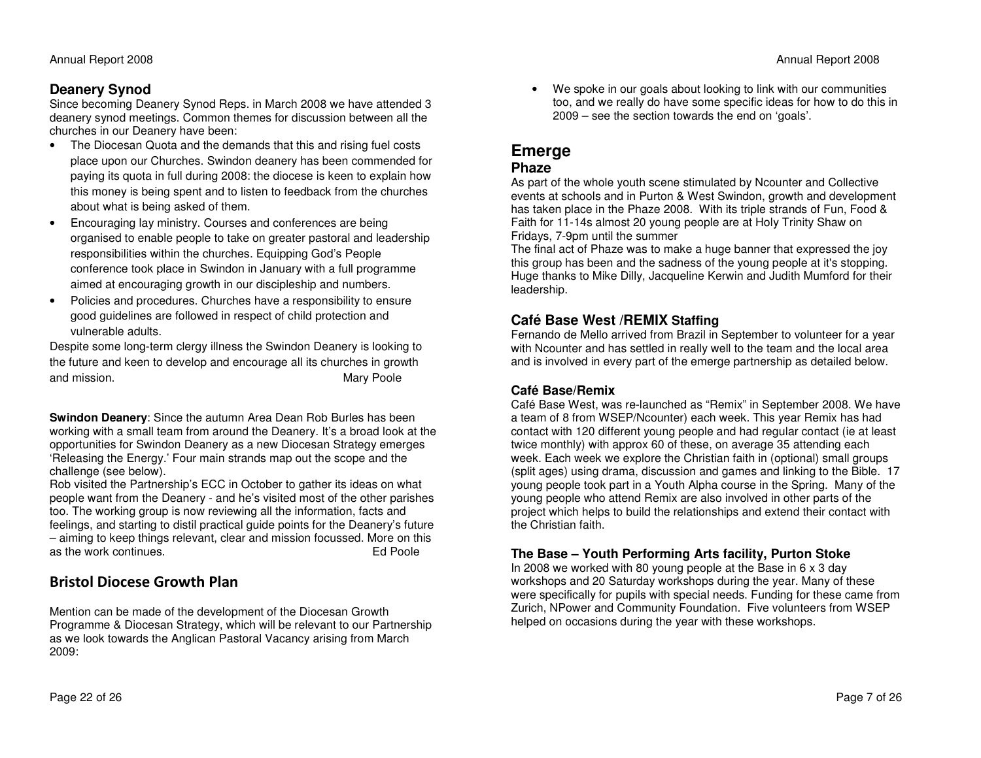## **Deanery Synod**

 Since becoming Deanery Synod Reps. in March 2008 we have attended 3 deanery synod meetings. Common themes for discussion between all the churches in our Deanery have been:

- The Diocesan Quota and the demands that this and rising fuel costs place upon our Churches. Swindon deanery has been commended for paying its quota in full during 2008: the diocese is keen to explain how this money is being spent and to listen to feedback from the churches about what is being asked of them.
- Encouraging lay ministry. Courses and conferences are being organised to enable people to take on greater pastoral and leadership responsibilities within the churches. Equipping God's People conference took place in Swindon in January with a full programme aimed at encouraging growth in our discipleship and numbers.
- Policies and procedures. Churches have a responsibility to ensure good guidelines are followed in respect of child protection and vulnerable adults.

Despite some long-term clergy illness the Swindon Deanery is looking to the future and keen to develop and encourage all its churches in growth and mission. The matrix of the matrix of the Mary Poole

**Swindon Deanery**: Since the autumn Area Dean Rob Burles has been working with a small team from around the Deanery. It's a broad look at the opportunities for Swindon Deanery as a new Diocesan Strategy emerges 'Releasing the Energy.' Four main strands map out the scope and the challenge (see below).

 Rob visited the Partnership's ECC in October to gather its ideas on what people want from the Deanery - and he's visited most of the other parishes too. The working group is now reviewing all the information, facts and feelings, and starting to distil practical guide points for the Deanery's future – aiming to keep things relevant, clear and mission focussed. More on this as the work continues. Ed Poole

## Bristol Diocese Growth Plan

Mention can be made of the development of the Diocesan Growth Programme & Diocesan Strategy, which will be relevant to our Partnership as we look towards the Anglican Pastoral Vacancy arising from March 2009:

We spoke in our goals about looking to link with our communities too, and we really do have some specific ideas for how to do this in 2009 – see the section towards the end on 'goals'.

## **Emerge**

### **Phaze**

 As part of the whole youth scene stimulated by Ncounter and Collective events at schools and in Purton & West Swindon, growth and development has taken place in the Phaze 2008. With its triple strands of Fun, Food & Faith for 11-14s almost 20 young people are at Holy Trinity Shaw on Fridays, 7-9pm until the summer

 The final act of Phaze was to make a huge banner that expressed the joy this group has been and the sadness of the young people at it's stopping. Huge thanks to Mike Dilly, Jacqueline Kerwin and Judith Mumford for their leadership.

## **Café Base West /REMIX Staffing**

 Fernando de Mello arrived from Brazil in September to volunteer for a year with Ncounter and has settled in really well to the team and the local area and is involved in every part of the emerge partnership as detailed below.

### **Café Base/Remix**

 Café Base West, was re-launched as "Remix" in September 2008. We have a team of 8 from WSEP/Ncounter) each week. This year Remix has had contact with 120 different young people and had regular contact (ie at least twice monthly) with approx 60 of these, on average 35 attending each week. Each week we explore the Christian faith in (optional) small groups (split ages) using drama, discussion and games and linking to the Bible. 17 young people took part in a Youth Alpha course in the Spring. Many of the young people who attend Remix are also involved in other parts of the project which helps to build the relationships and extend their contact with the Christian faith.

## **The Base – Youth Performing Arts facility, Purton Stoke**

 In 2008 we worked with 80 young people at the Base in 6 x 3 day workshops and 20 Saturday workshops during the year. Many of these were specifically for pupils with special needs. Funding for these came from Zurich, NPower and Community Foundation. Five volunteers from WSEP helped on occasions during the year with these workshops.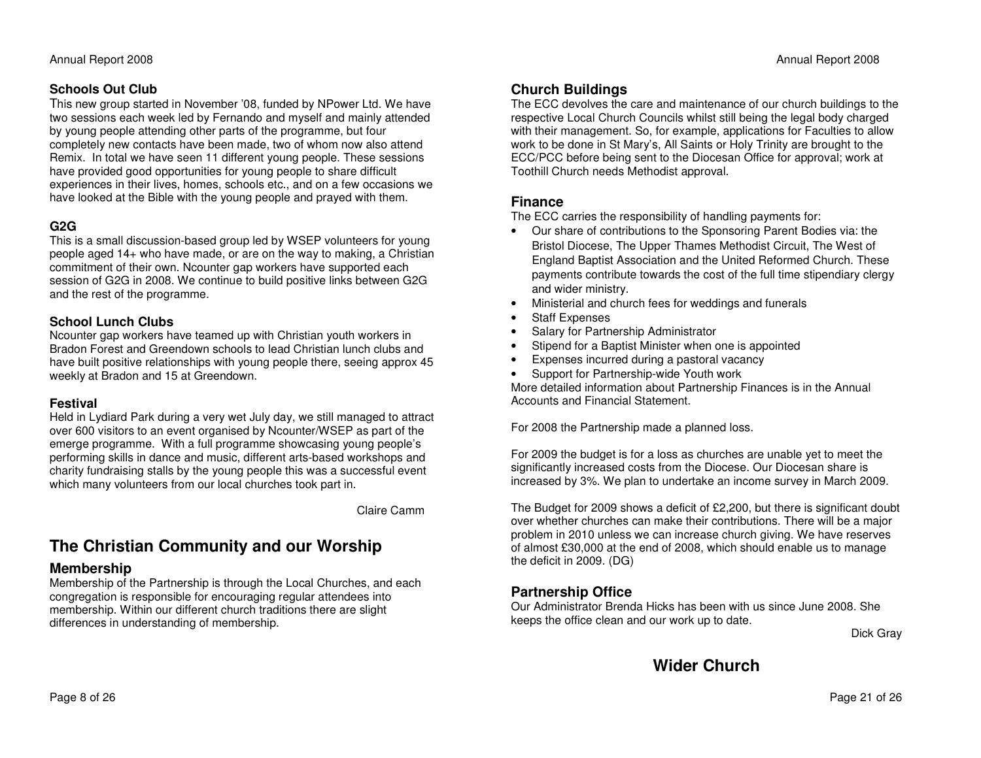### **Schools Out Club**

 This new group started in November '08, funded by NPower Ltd. We have two sessions each week led by Fernando and myself and mainly attended by young people attending other parts of the programme, but four completely new contacts have been made, two of whom now also attend Remix. In total we have seen 11 different young people. These sessions have provided good opportunities for young people to share difficult experiences in their lives, homes, schools etc., and on a few occasions we have looked at the Bible with the young people and prayed with them.

#### **G2G**

 This is a small discussion-based group led by WSEP volunteers for young people aged 14+ who have made, or are on the way to making, a Christian commitment of their own. Ncounter gap workers have supported each session of G2G in 2008. We continue to build positive links between G2G and the rest of the programme.

#### **School Lunch Clubs**

 Ncounter gap workers have teamed up with Christian youth workers in Bradon Forest and Greendown schools to lead Christian lunch clubs and have built positive relationships with young people there, seeing approx 45 weekly at Bradon and 15 at Greendown.

#### **Festival**

 Held in Lydiard Park during a very wet July day, we still managed to attract over 600 visitors to an event organised by Ncounter/WSEP as part of the emerge programme. With a full programme showcasing young people's performing skills in dance and music, different arts-based workshops and charity fundraising stalls by the young people this was a successful event which many volunteers from our local churches took part in.

Claire Camm

# **The Christian Community and our Worship**

## **Membership**

 Membership of the Partnership is through the Local Churches, and each congregation is responsible for encouraging regular attendees into membership. Within our different church traditions there are slight differences in understanding of membership.

## **Church Buildings**

 The ECC devolves the care and maintenance of our church buildings to the respective Local Church Councils whilst still being the legal body charged with their management. So, for example, applications for Faculties to allow work to be done in St Mary's, All Saints or Holy Trinity are brought to the ECC/PCC before being sent to the Diocesan Office for approval; work at Toothill Church needs Methodist approval.

## **Finance**

The ECC carries the responsibility of handling payments for:

- Our share of contributions to the Sponsoring Parent Bodies via: the Bristol Diocese, The Upper Thames Methodist Circuit, The West of England Baptist Association and the United Reformed Church. These payments contribute towards the cost of the full time stipendiary clergy and wider ministry.
- Ministerial and church fees for weddings and funerals
- Staff Expenses
- Salary for Partnership Administrator
- Stipend for a Baptist Minister when one is appointed
- Expenses incurred during a pastoral vacancy
- Support for Partnership-wide Youth work

 More detailed information about Partnership Finances is in the Annual Accounts and Financial Statement.

For 2008 the Partnership made a planned loss.

For 2009 the budget is for a loss as churches are unable yet to meet the significantly increased costs from the Diocese. Our Diocesan share is increased by 3%. We plan to undertake an income survey in March 2009.

The Budget for 2009 shows a deficit of £2,200, but there is significant doubt over whether churches can make their contributions. There will be a major problem in 2010 unless we can increase church giving. We have reserves of almost £30,000 at the end of 2008, which should enable us to manage the deficit in 2009. (DG)

## **Partnership Office**

 Our Administrator Brenda Hicks has been with us since June 2008. She keeps the office clean and our work up to date.

Dick Gray

**Wider Church**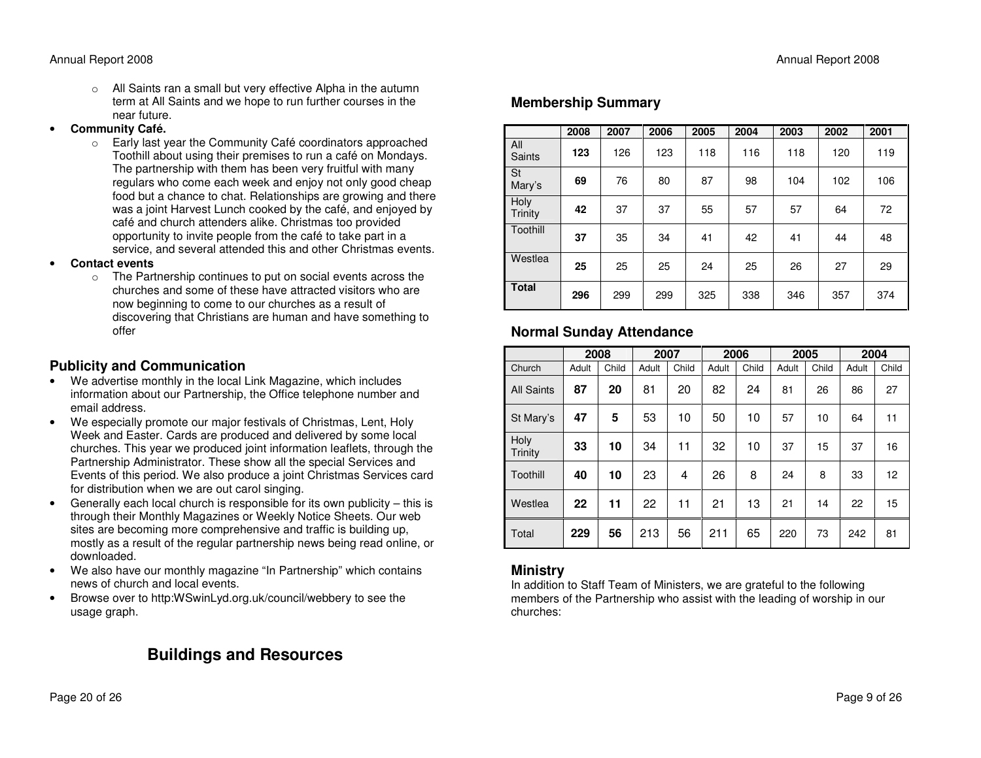o All Saints ran a small but very effective Alpha in the autumn term at All Saints and we hope to run further courses in the near future.

#### •**Community Café.**<br> **Community Café.**

- Early last year the Community Café coordinators approached Toothill about using their premises to run a café on Mondays. The partnership with them has been very fruitful with many regulars who come each week and enjoy not only good cheap food but a chance to chat. Relationships are growing and there was a joint Harvest Lunch cooked by the café, and enjoyed by café and church attenders alike. Christmas too provided opportunity to invite people from the café to take part in a service, and several attended this and other Christmas events.
- • **Contact events** 
	- o The Partnership continues to put on social events across the churches and some of these have attracted visitors who are now beginning to come to our churches as a result of discovering that Christians are human and have something to offer

### **Publicity and Communication**

- We advertise monthly in the local Link Magazine, which includes information about our Partnership, the Office telephone number and email address.
- We especially promote our major festivals of Christmas, Lent, Holy Week and Easter. Cards are produced and delivered by some local churches. This year we produced joint information leaflets, through the Partnership Administrator. These show all the special Services and Events of this period. We also produce a joint Christmas Services card for distribution when we are out carol singing.
- Generally each local church is responsible for its own publicity this is through their Monthly Magazines or Weekly Notice Sheets. Our web sites are becoming more comprehensive and traffic is building up, mostly as a result of the regular partnership news being read online, or downloaded.
- We also have our monthly magazine "In Partnership" which contains news of church and local events.
- Browse over to http:WSwinLyd.org.uk/council/webbery to see the usage graph.

# **Buildings and Resources**

|                        | 2008 | 2007 | 2006 | 2005 | 2004 | 2003 | 2002 | 2001 |
|------------------------|------|------|------|------|------|------|------|------|
| All<br><b>Saints</b>   | 123  | 126  | 123  | 118  | 116  | 118  | 120  | 119  |
| <b>St</b><br>Mary's    | 69   | 76   | 80   | 87   | 98   | 104  | 102  | 106  |
| Holy<br><b>Trinity</b> | 42   | 37   | 37   | 55   | 57   | 57   | 64   | 72   |
| Toothill               | 37   | 35   | 34   | 41   | 42   | 41   | 44   | 48   |
| Westlea                | 25   | 25   | 25   | 24   | 25   | 26   | 27   | 29   |
| <b>Total</b>           | 296  | 299  | 299  | 325  | 338  | 346  | 357  | 374  |

## **Normal Sunday Attendance**

|                   | 2008  |       | 2007  |       | 2006  |       | 2005  |       | 2004  |       |
|-------------------|-------|-------|-------|-------|-------|-------|-------|-------|-------|-------|
| Church            | Adult | Child | Adult | Child | Adult | Child | Adult | Child | Adult | Child |
| <b>All Saints</b> | 87    | 20    | 81    | 20    | 82    | 24    | 81    | 26    | 86    | 27    |
| St Mary's         | 47    | 5     | 53    | 10    | 50    | 10    | 57    | 10    | 64    | 11    |
| Holy<br>Trinity   | 33    | 10    | 34    | 11    | 32    | 10    | 37    | 15    | 37    | 16    |
| Toothill          | 40    | 10    | 23    | 4     | 26    | 8     | 24    | 8     | 33    | 12    |
| Westlea           | 22    | 11    | 22    | 11    | 21    | 13    | 21    | 14    | 22    | 15    |
| Total             | 229   | 56    | 213   | 56    | 211   | 65    | 220   | 73    | 242   | 81    |

### **Ministry**

 In addition to Staff Team of Ministers, we are grateful to the following members of the Partnership who assist with the leading of worship in our churches: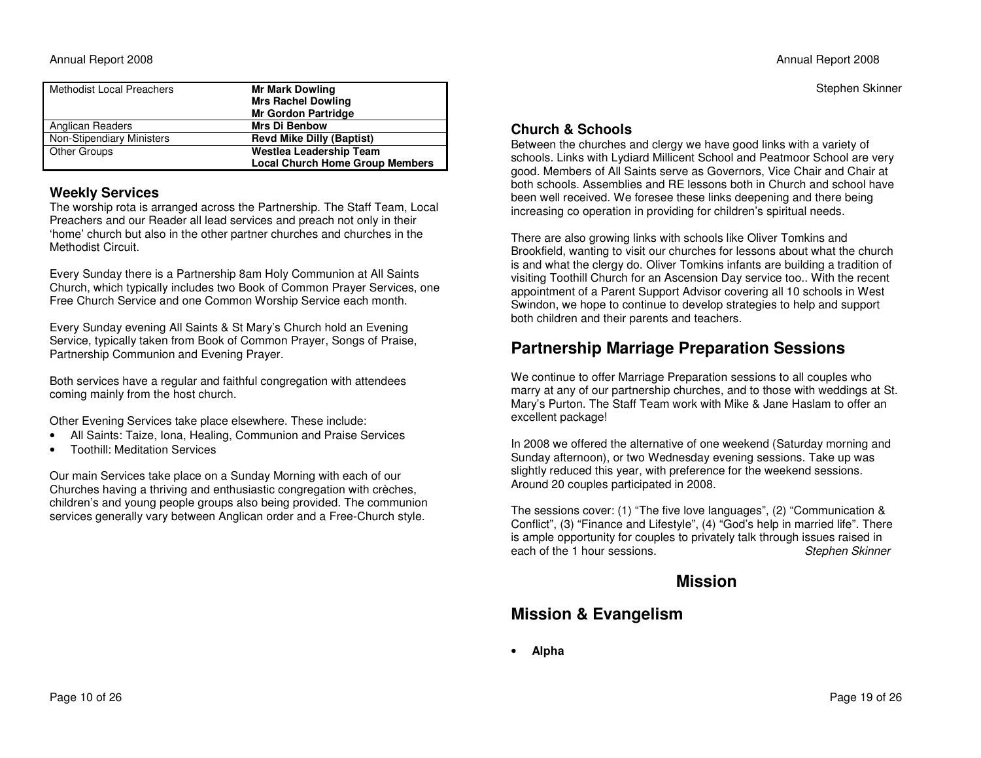Stephen Skinner

| <b>Methodist Local Preachers</b> | <b>Mr Mark Dowling</b><br><b>Mrs Rachel Dowling</b><br><b>Mr Gordon Partridge</b> |
|----------------------------------|-----------------------------------------------------------------------------------|
| Anglican Readers                 | <b>Mrs Di Benbow</b>                                                              |
| Non-Stipendiary Ministers        | <b>Revd Mike Dilly (Baptist)</b>                                                  |
| Other Groups                     | <b>Westlea Leadership Team</b>                                                    |
|                                  | <b>Local Church Home Group Members</b>                                            |

### **Weekly Services**

 The worship rota is arranged across the Partnership. The Staff Team, Local Preachers and our Reader all lead services and preach not only in their 'home' church but also in the other partner churches and churches in the Methodist Circuit.

Every Sunday there is a Partnership 8am Holy Communion at All Saints Church, which typically includes two Book of Common Prayer Services, one Free Church Service and one Common Worship Service each month.

Every Sunday evening All Saints & St Mary's Church hold an Evening Service, typically taken from Book of Common Prayer, Songs of Praise, Partnership Communion and Evening Prayer.

Both services have a regular and faithful congregation with attendees coming mainly from the host church.

Other Evening Services take place elsewhere. These include:

- All Saints: Taize, Iona, Healing, Communion and Praise Services
- Toothill: Meditation Services

Our main Services take place on a Sunday Morning with each of our Churches having a thriving and enthusiastic congregation with crèches, children's and young people groups also being provided. The communion services generally vary between Anglican order and a Free-Church style.

## **Church & Schools**

 Between the churches and clergy we have good links with a variety of schools. Links with Lydiard Millicent School and Peatmoor School are very good. Members of All Saints serve as Governors, Vice Chair and Chair at both schools. Assemblies and RE lessons both in Church and school have been well received. We foresee these links deepening and there being increasing co operation in providing for children's spiritual needs.

There are also growing links with schools like Oliver Tomkins and Brookfield, wanting to visit our churches for lessons about what the church is and what the clergy do. Oliver Tomkins infants are building a tradition of visiting Toothill Church for an Ascension Day service too.. With the recent appointment of a Parent Support Advisor covering all 10 schools in West Swindon, we hope to continue to develop strategies to help and support both children and their parents and teachers.

# **Partnership Marriage Preparation Sessions**

We continue to offer Marriage Preparation sessions to all couples who marry at any of our partnership churches, and to those with weddings at St. Mary's Purton. The Staff Team work with Mike & Jane Haslam to offer an excellent package!

In 2008 we offered the alternative of one weekend (Saturday morning and Sunday afternoon), or two Wednesday evening sessions. Take up was slightly reduced this year, with preference for the weekend sessions. Around 20 couples participated in 2008.

The sessions cover: (1) "The five love languages", (2) "Communication & Conflict", (3) "Finance and Lifestyle", (4) "God's help in married life". There is ample opportunity for couples to privately talk through issues raised in Stephen Skinner each of the 1 hour sessions.

# **Mission**

# **Mission & Evangelism**

•**Alpha**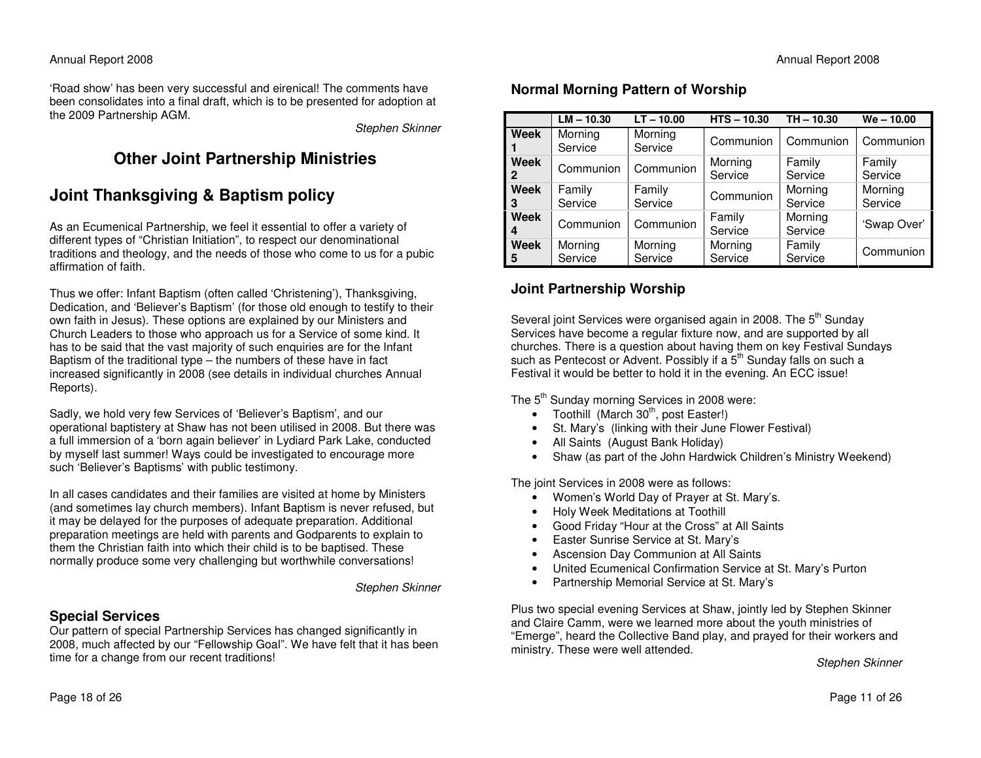'Road show' has been very successful and eirenical! The comments have been consolidates into a final draft, which is to be presented for adoption at the 2009 Partnership AGM.

Stephen Skinner

# **Other Joint Partnership Ministries**

# **Joint Thanksgiving & Baptism policy**

As an Ecumenical Partnership, we feel it essential to offer a variety of different types of "Christian Initiation", to respect our denominational traditions and theology, and the needs of those who come to us for a pubic affirmation of faith.

Thus we offer: Infant Baptism (often called 'Christening'), Thanksgiving, Dedication, and 'Believer's Baptism' (for those old enough to testify to their own faith in Jesus). These options are explained by our Ministers and Church Leaders to those who approach us for a Service of some kind. It has to be said that the vast majority of such enquiries are for the Infant Baptism of the traditional type – the numbers of these have in fact increased significantly in 2008 (see details in individual churches Annual Reports).

Sadly, we hold very few Services of 'Believer's Baptism', and our operational baptistery at Shaw has not been utilised in 2008. But there was a full immersion of a 'born again believer' in Lydiard Park Lake, conducted by myself last summer! Ways could be investigated to encourage more such 'Believer's Baptisms' with public testimony.

In all cases candidates and their families are visited at home by Ministers (and sometimes lay church members). Infant Baptism is never refused, but it may be delayed for the purposes of adequate preparation. Additional preparation meetings are held with parents and Godparents to explain to them the Christian faith into which their child is to be baptised. These normally produce some very challenging but worthwhile conversations!

Stephen Skinner

### **Special Services**

 Our pattern of special Partnership Services has changed significantly in 2008, much affected by our "Fellowship Goal". We have felt that it has been time for a change from our recent traditions!

## **Normal Morning Pattern of Worship**

|                      | $LM - 10.30$       | $LT - 10.00$       | $HTS - 10.30$      | $TH - 10.30$       | $We - 10.00$       |
|----------------------|--------------------|--------------------|--------------------|--------------------|--------------------|
| Week                 | Morning<br>Service | Morning<br>Service | Communion          | Communion          | Communion          |
| Week<br>$\mathbf{2}$ | Communion          | Communion          | Morning<br>Service | Family<br>Service  | Family<br>Service  |
| Week<br>3            | Family<br>Service  | Family<br>Service  | Communion          | Morning<br>Service | Morning<br>Service |
| Week<br>4            | Communion          | Communion          | Family<br>Service  | Morning<br>Service | 'Swap Over'        |
| Week<br>5            | Morning<br>Service | Morning<br>Service | Morning<br>Service | Family<br>Service  | Communion          |

## **Joint Partnership Worship**

Several joint Services were organised again in 2008. The 5<sup>th</sup> Sunday Services have become a regular fixture now, and are supported by all churches. There is a question about having them on key Festival Sundays such as Pentecost or Advent. Possibly if a 5<sup>th</sup> Sunday falls on such a Festival it would be better to hold it in the evening. An ECC issue!

The 5<sup>th</sup> Sunday morning Services in 2008 were:

- Toothill (March 30<sup>th</sup>, post Easter!)
- St. Mary's (linking with their June Flower Festival)
- All Saints (August Bank Holiday)
- Shaw (as part of the John Hardwick Children's Ministry Weekend)

The joint Services in 2008 were as follows:

- Women's World Day of Prayer at St. Mary's.
- Holy Week Meditations at Toothill
- Good Friday "Hour at the Cross" at All Saints
- Easter Sunrise Service at St. Mary's
- Ascension Day Communion at All Saints
- United Ecumenical Confirmation Service at St. Mary's Purton
- Partnership Memorial Service at St. Mary's

Plus two special evening Services at Shaw, jointly led by Stephen Skinner and Claire Camm, were we learned more about the youth ministries of "Emerge", heard the Collective Band play, and prayed for their workers and ministry. These were well attended.

Stephen Skinner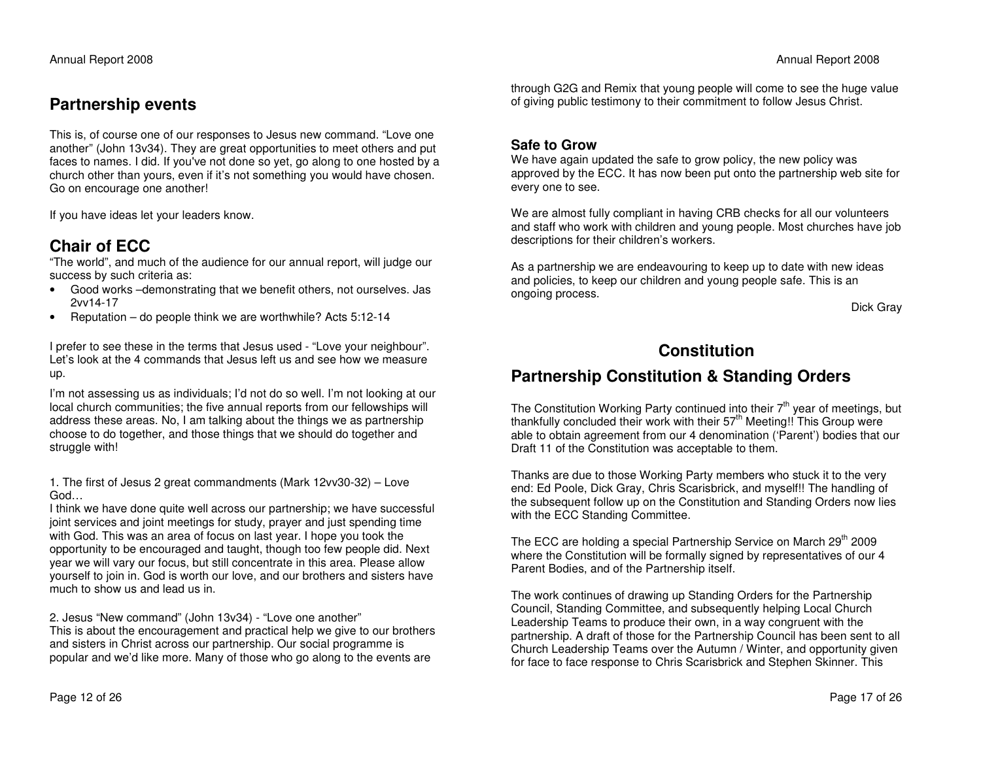# **Partnership events**

This is, of course one of our responses to Jesus new command. "Love one another" (John 13v34). They are great opportunities to meet others and put faces to names. I did. If you've not done so yet, go along to one hosted by a church other than yours, even if it's not something you would have chosen. Go on encourage one another!

If you have ideas let your leaders know.

## **Chair of ECC**

 "The world", and much of the audience for our annual report, will judge our success by such criteria as:

- Good works –demonstrating that we benefit others, not ourselves. Jas 2vv14-17
- Reputation do people think we are worthwhile? Acts 5:12-14

I prefer to see these in the terms that Jesus used - "Love your neighbour". Let's look at the 4 commands that Jesus left us and see how we measure up.

I'm not assessing us as individuals; I'd not do so well. I'm not looking at our local church communities; the five annual reports from our fellowships will address these areas. No, I am talking about the things we as partnership choose to do together, and those things that we should do together and struggle with!

1. The first of Jesus 2 great commandments (Mark 12vv30-32) – Love God…

 I think we have done quite well across our partnership; we have successful joint services and joint meetings for study, prayer and just spending time with God. This was an area of focus on last year. I hope you took the opportunity to be encouraged and taught, though too few people did. Next year we will vary our focus, but still concentrate in this area. Please allow yourself to join in. God is worth our love, and our brothers and sisters have much to show us and lead us in.

2. Jesus "New command" (John 13v34) - "Love one another"

 This is about the encouragement and practical help we give to our brothers and sisters in Christ across our partnership. Our social programme is popular and we'd like more. Many of those who go along to the events are

through G2G and Remix that young people will come to see the huge value of giving public testimony to their commitment to follow Jesus Christ.

#### **Safe to Grow**

 We have again updated the safe to grow policy, the new policy was approved by the ECC. It has now been put onto the partnership web site for every one to see.

We are almost fully compliant in having CRB checks for all our volunteers and staff who work with children and young people. Most churches have job descriptions for their children's workers.

As a partnership we are endeavouring to keep up to date with new ideas and policies, to keep our children and young people safe. This is an ongoing process.

Dick Gray

## **Constitution**

## **Partnership Constitution & Standing Orders**

The Constitution Working Party continued into their  $7<sup>th</sup>$  year of meetings, but thankfully concluded their work with their  $57<sup>th</sup>$  Meeting! This Group were able to obtain agreement from our 4 denomination ('Parent') bodies that our Draft 11 of the Constitution was acceptable to them.

Thanks are due to those Working Party members who stuck it to the very end: Ed Poole, Dick Gray, Chris Scarisbrick, and myself!! The handling of the subsequent follow up on the Constitution and Standing Orders now lies with the ECC Standing Committee.

The ECC are holding a special Partnership Service on March 29<sup>th</sup> 2009 where the Constitution will be formally signed by representatives of our 4 Parent Bodies, and of the Partnership itself.

The work continues of drawing up Standing Orders for the Partnership Council, Standing Committee, and subsequently helping Local Church Leadership Teams to produce their own, in a way congruent with the partnership. A draft of those for the Partnership Council has been sent to all Church Leadership Teams over the Autumn / Winter, and opportunity given for face to face response to Chris Scarisbrick and Stephen Skinner. This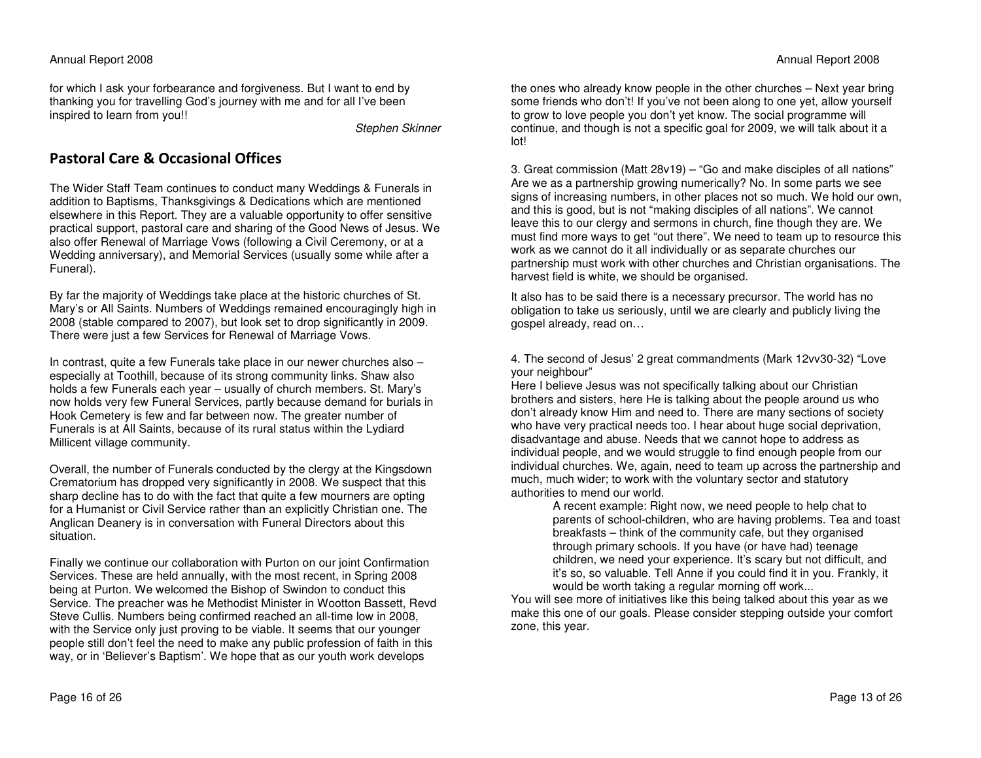#### Annual Report 2008

for which I ask your forbearance and forgiveness. But I want to end by thanking you for travelling God's journey with me and for all I've been inspired to learn from you!!

Stephen Skinner

## Pastoral Care & Occasional Offices

The Wider Staff Team continues to conduct many Weddings & Funerals in addition to Baptisms, Thanksgivings & Dedications which are mentioned elsewhere in this Report. They are a valuable opportunity to offer sensitive practical support, pastoral care and sharing of the Good News of Jesus. We also offer Renewal of Marriage Vows (following a Civil Ceremony, or at a Wedding anniversary), and Memorial Services (usually some while after a Funeral).

By far the majority of Weddings take place at the historic churches of St. Mary's or All Saints. Numbers of Weddings remained encouragingly high in 2008 (stable compared to 2007), but look set to drop significantly in 2009. There were just a few Services for Renewal of Marriage Vows.

In contrast, quite a few Funerals take place in our newer churches also – especially at Toothill, because of its strong community links. Shaw also holds a few Funerals each year – usually of church members. St. Mary's now holds very few Funeral Services, partly because demand for burials in Hook Cemetery is few and far between now. The greater number of Funerals is at All Saints, because of its rural status within the Lydiard Millicent village community.

Overall, the number of Funerals conducted by the clergy at the Kingsdown Crematorium has dropped very significantly in 2008. We suspect that this sharp decline has to do with the fact that quite a few mourners are opting for a Humanist or Civil Service rather than an explicitly Christian one. The Anglican Deanery is in conversation with Funeral Directors about this situation.

Finally we continue our collaboration with Purton on our joint Confirmation Services. These are held annually, with the most recent, in Spring 2008 being at Purton. We welcomed the Bishop of Swindon to conduct this Service. The preacher was he Methodist Minister in Wootton Bassett, Revd Steve Cullis. Numbers being confirmed reached an all-time low in 2008, with the Service only just proving to be viable. It seems that our younger people still don't feel the need to make any public profession of faith in this way, or in 'Believer's Baptism'. We hope that as our youth work develops

the ones who already know people in the other churches – Next year bring some friends who don't! If you've not been along to one yet, allow yourself to grow to love people you don't yet know. The social programme will continue, and though is not a specific goal for 2009, we will talk about it a lot!

3. Great commission (Matt 28v19) – "Go and make disciples of all nations" Are we as a partnership growing numerically? No. In some parts we see signs of increasing numbers, in other places not so much. We hold our own, and this is good, but is not "making disciples of all nations". We cannot leave this to our clergy and sermons in church, fine though they are. We must find more ways to get "out there". We need to team up to resource this work as we cannot do it all individually or as separate churches our partnership must work with other churches and Christian organisations. The harvest field is white, we should be organised.

It also has to be said there is a necessary precursor. The world has no obligation to take us seriously, until we are clearly and publicly living the gospel already, read on…

4. The second of Jesus' 2 great commandments (Mark 12vv30-32) "Love your neighbour"

 Here I believe Jesus was not specifically talking about our Christian brothers and sisters, here He is talking about the people around us who don't already know Him and need to. There are many sections of society who have very practical needs too. I hear about huge social deprivation, disadvantage and abuse. Needs that we cannot hope to address as individual people, and we would struggle to find enough people from our individual churches. We, again, need to team up across the partnership and much, much wider; to work with the voluntary sector and statutory authorities to mend our world.

> A recent example: Right now, we need people to help chat to parents of school-children, who are having problems. Tea and toast breakfasts – think of the community cafe, but they organised through primary schools. If you have (or have had) teenage children, we need your experience. It's scary but not difficult, and it's so, so valuable. Tell Anne if you could find it in you. Frankly, it would be worth taking a regular morning off work...

 You will see more of initiatives like this being talked about this year as we make this one of our goals. Please consider stepping outside your comfort zone, this year.